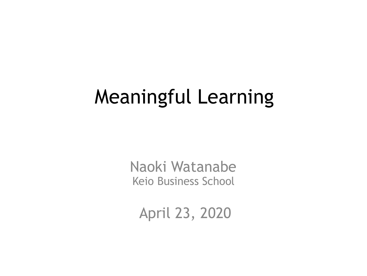## Meaningful Learning

Naoki Watanabe Keio Business School

April 23, 2020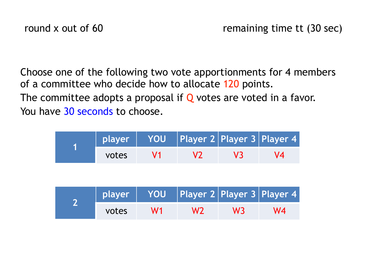Choose one of the following two vote apportionments for 4 members of a committee who decide how to allocate 120 points. The committee adopts a proposal if  $Q$  votes are voted in a favor. You have 30 seconds to choose.

| $\begin{array}{ c c c c }\hline \text{player} & \text{YOU} & \text{Player 2} \end{array}$ Player 4 |  |    |
|----------------------------------------------------------------------------------------------------|--|----|
| votes                                                                                              |  | V4 |

|       |    | $\begin{array}{ c c c c }\hline \text{player} & \text{YOU} & \text{Player 2} \end{array}$ Player 4 |                |    |
|-------|----|----------------------------------------------------------------------------------------------------|----------------|----|
| votes | W1 | W7                                                                                                 | W <sub>3</sub> | W4 |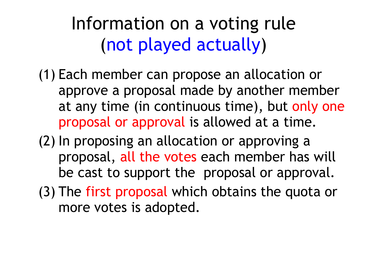### Information on a voting rule (not played actually)

- (1) Each member can propose an allocation or approve a proposal made by another member at any time (in continuous time), but only one proposal or approval is allowed at a time.
- (2) In proposing an allocation or approving a proposal, all the votes each member has will be cast to support the proposal or approval.
- (3) The first proposal which obtains the quota or more votes is adopted.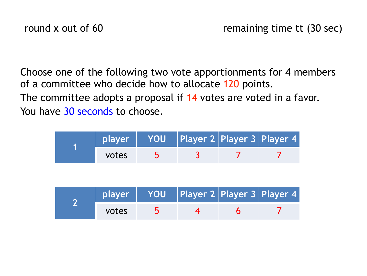Choose one of the following two vote apportionments for 4 members of a committee who decide how to allocate 120 points. The committee adopts a proposal if 14 votes are voted in a favor. You have 30 seconds to choose.

|       |  | $\begin{array}{ c c c c }\hline \text{player} & \text{YOU} & \text{Player 2} \end{array}$ Player 4 $\begin{array}{ c c c }\hline \end{array}$ |
|-------|--|-----------------------------------------------------------------------------------------------------------------------------------------------|
| votes |  |                                                                                                                                               |

|       |  | player   YOU   Player 2   Player 3   Player 4 |
|-------|--|-----------------------------------------------|
| votes |  |                                               |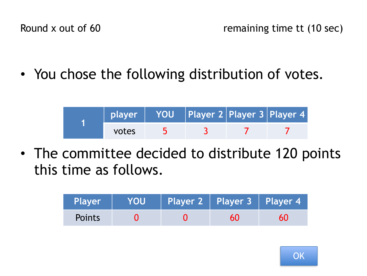• You chose the following distribution of votes.

|       | player   YOU  Player 2  Player 3  Player 4 |  |
|-------|--------------------------------------------|--|
| votes |                                            |  |

| Player        | YOU | $\vert \ \vert$ Player 2 $\vert \ \vert$ Player 3 $\vert \ \vert$ Player 4 $\vert$ |  |
|---------------|-----|------------------------------------------------------------------------------------|--|
| <b>Points</b> |     |                                                                                    |  |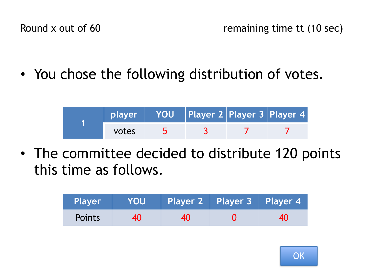• You chose the following distribution of votes.

| $\begin{array}{ c c c c }\hline \text{player} & \text{YOU} & \text{Player 2} \end{array}$ Player 4 $\begin{array}{ c c c }\hline \end{array}$ |  |  |
|-----------------------------------------------------------------------------------------------------------------------------------------------|--|--|
| votes                                                                                                                                         |  |  |

| Player        | YOU | Player 2 Player 3 Player 4 |  |
|---------------|-----|----------------------------|--|
| <b>Points</b> | 40  |                            |  |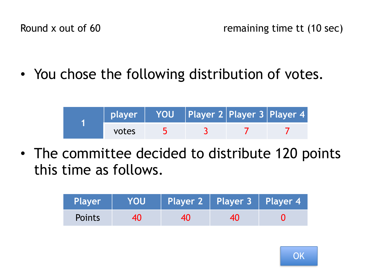• You chose the following distribution of votes.

|       | player   YOU  Player 2  Player 3  Player 4 |  |
|-------|--------------------------------------------|--|
| votes |                                            |  |

| <b>Player</b> | YOU | $\vert$ Player 2   Player 3   Player 4 |  |
|---------------|-----|----------------------------------------|--|
| <b>Points</b> | 40  |                                        |  |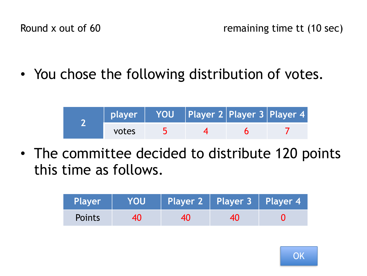• You chose the following distribution of votes.

| $\begin{array}{ c c c c c }\ \hline \text{player} & \text{YOU} & \text{Player 2} & \text{Player 3} & \text{Player 4} \end{array}$ |  |  |
|-----------------------------------------------------------------------------------------------------------------------------------|--|--|
| votes                                                                                                                             |  |  |

| <b>Player</b> | YOU | $\vert$ Player 2   Player 3   Player 4 |  |
|---------------|-----|----------------------------------------|--|
| <b>Points</b> | 40  |                                        |  |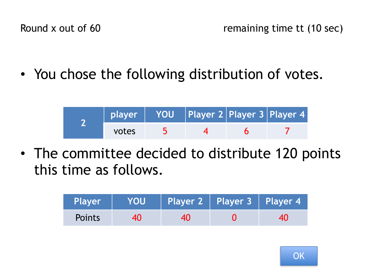• You chose the following distribution of votes.

| $\begin{array}{ c c c c c }\ \hline \text{player} & \text{YOU} & \text{Player 2} & \text{Player 3} & \text{Player 4} \end{array}$ |  |  |
|-----------------------------------------------------------------------------------------------------------------------------------|--|--|
| votes                                                                                                                             |  |  |

| Player        | YOU | Player 2 Player 3 Player 4 |  |
|---------------|-----|----------------------------|--|
| <b>Points</b> | 40  |                            |  |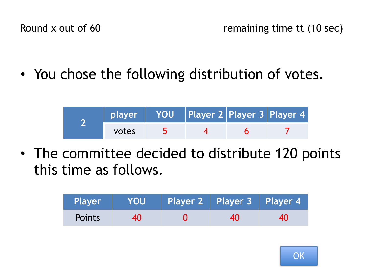• You chose the following distribution of votes.

| player   YOU   Player 2   Player 3   Player 4 |  |  |
|-----------------------------------------------|--|--|
| votes                                         |  |  |

| <b>Player</b> | YOU | Player 2   Player 3   Player 4 |    |  |
|---------------|-----|--------------------------------|----|--|
| <b>Points</b> | 40  |                                | 40 |  |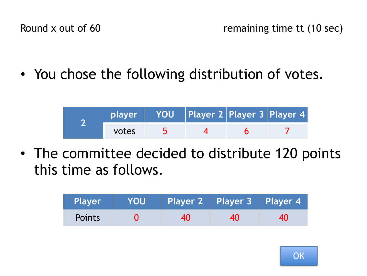• You chose the following distribution of votes.

| $\begin{array}{ c c c c c }\ \hline \text{player} & \text{YOU} & \text{Player 2} & \text{Player 3} & \text{Player 4} \end{array}$ |  |  |
|-----------------------------------------------------------------------------------------------------------------------------------|--|--|
| votes                                                                                                                             |  |  |

| Player        | YOU | $\vert$ Player 2   Player 3   Player 4 |  |
|---------------|-----|----------------------------------------|--|
| <b>Points</b> |     |                                        |  |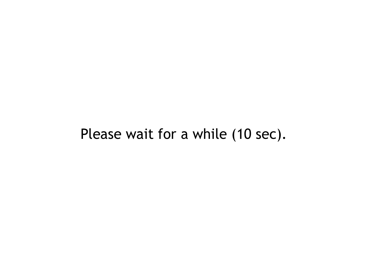#### Please wait for a while (10 sec).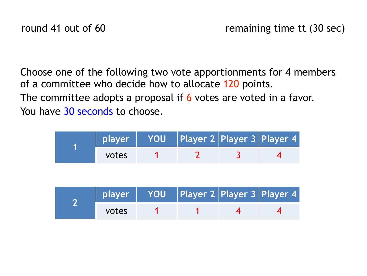Choose one of the following two vote apportionments for 4 members of a committee who decide how to allocate 120 points. The committee adopts a proposal if 6 votes are voted in a favor. You have 30 seconds to choose.

|  |       |  | $\begin{array}{ c c c c }\hline \text{player} & \text{YOU} & \text{Player 2} \end{array}$ Player 4 $\begin{array}{ c c c }\hline \end{array}$ |
|--|-------|--|-----------------------------------------------------------------------------------------------------------------------------------------------|
|  | votes |  |                                                                                                                                               |

|       | player   YOU   Player 2   Player 3   Player 4 |  |
|-------|-----------------------------------------------|--|
| votes |                                               |  |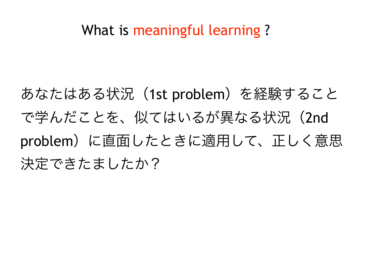#### What is meaningful learning ?

あなたはある状況(1st problem)を経験すること で学んだことを、似てはいるが異なる状況(2nd problem)に直面したときに適用して、正しく意思 決定できたましたか?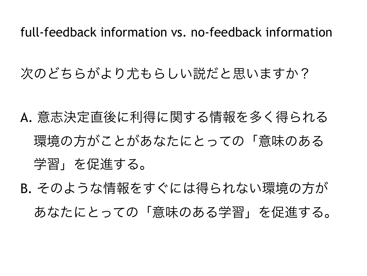full-feedback information vs. no-feedback information

次のどちらがより尤もらしい説だと思いますか?

A. 意志決定直後に利得に関する情報を多く得られる 環境の方がことがあなたにとっての「意味のある 学習」を促進する。

B. そのような情報をすぐには得られない環境の方が あなたにとっての「意味のある学習」を促進する。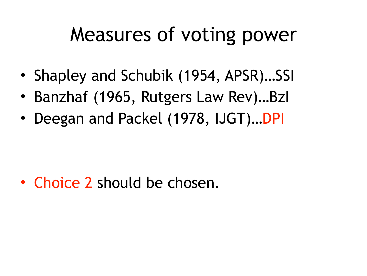## Measures of voting power

- Shapley and Schubik (1954, APSR)…SSI
- Banzhaf (1965, Rutgers Law Rev)…BzI
- Deegan and Packel (1978, IJGT)...DPI

### • Choice 2 should be chosen.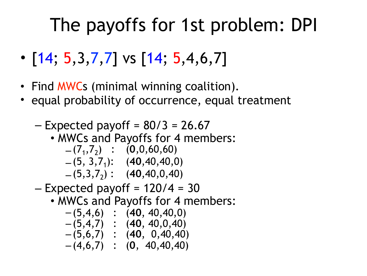## The payoffs for 1st problem: DPI

- $[14; 5, 3, 7, 7]$  vs  $[14; 5, 4, 6, 7]$
- Find MWCs (minimal winning coalition).
- equal probability of occurrence, equal treatment
	- $-$  Expected payoff = 80/3 = 26.67 • MWCs and Payoffs for 4 members:  $-(7_1,7_2)$  :  $(0,0,60,60)$  $-(5, 3, 7,):$   $(40, 40, 40, 0)$  $-(5,3,7<sub>2</sub>)$  :  $(40,40,0,40)$  $-$  Expected payoff = 120/4 = 30 • MWCs and Payoffs for 4 members:  $-(5,4,6)$  :  $(40, 40, 40, 0)$  $-(5,4,7)$  :  $(40, 40,0,40)$  $-(5,6,7)$  :  $(40, 0,40,40)$  $-(4,6,7)$  :  $(0, 40,40,40)$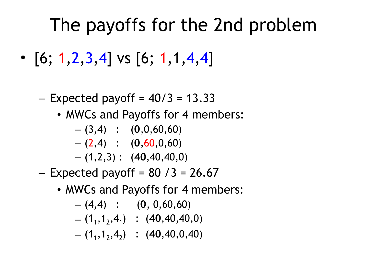## The payoffs for the 2nd problem

- $[6; 1, 2, 3, 4]$  vs  $[6; 1, 1, 4, 4]$ 
	- $-$  Expected payoff =  $40/3$  = 13.33
		- MWCs and Payoffs for 4 members:
		- $-$  (3,4) : (0,0,60,60)  $- (2,4)$  :  $(0,60,0,60)$ – (1,2,3) : (**40**,40,40,0)
	- $-$  Expected payoff = 80 /3 = 26.67
		- MWCs and Payoffs for 4 members:

$$
\begin{array}{rcl}\n- (4,4) & : & (0, 0,60,60) \\
- (1_1, 1_2, 4_1) & : & (40,40,40,0) \\
- (1_1, 1_2, 4_2) & : & (40,40,0,40)\n\end{array}
$$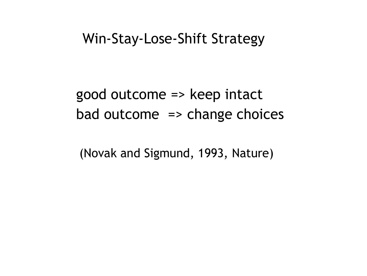#### Win-Stay-Lose-Shift Strategy

#### good outcome => keep intact bad outcome => change choices

(Novak and Sigmund, 1993, Nature)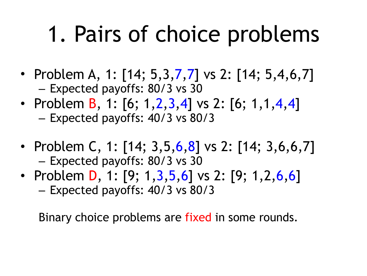# 1. Pairs of choice problems

- Problem A, 1:  $[14; 5, 3, 7, 7]$  vs 2:  $[14; 5, 4, 6, 7]$ – Expected payoffs: 80/3 vs 30
- Problem B, 1: [6; 1,2,3,4] vs 2: [6; 1,1,4,4] – Expected payoffs: 40/3 vs 80/3
- Problem C, 1:  $[14; 3,5,6,8]$  vs 2:  $[14; 3,6,6,7]$ – Expected payoffs: 80/3 vs 30
- Problem D, 1:  $[9; 1,3,5,6]$  vs 2:  $[9; 1,2,6,6]$ – Expected payoffs: 40/3 vs 80/3

Binary choice problems are fixed in some rounds.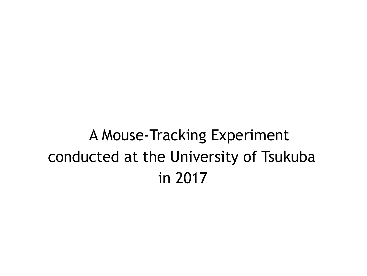### A Mouse-Tracking Experiment conducted at the University of Tsukuba in 2017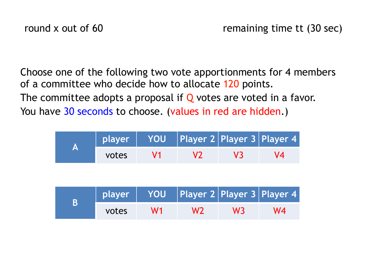Choose one of the following two vote apportionments for 4 members of a committee who decide how to allocate 120 points. The committee adopts a proposal if  $Q$  votes are voted in a favor. You have 30 seconds to choose. (values in red are hidden.)

| $\begin{array}{ c c c c }\hline \text{player} & \text{YOU} & \text{Player 2} \end{array}$ Player 4 |  |  |
|----------------------------------------------------------------------------------------------------|--|--|
| votes                                                                                              |  |  |

| $\begin{array}{ c c c c c }\hline \text{player} & \text{YOU} & \text{Player 2} \end{array}$ Player 4 |    |                |                |    |
|------------------------------------------------------------------------------------------------------|----|----------------|----------------|----|
| votes                                                                                                | W1 | W <sub>7</sub> | W <sub>3</sub> | W4 |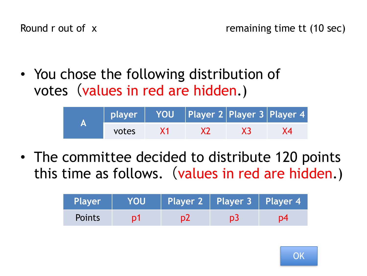• You chose the following distribution of votes (values in red are hidden.)

| $\begin{array}{ c c c c }\hline \text{player} & \text{YOU} & \text{Player 2} \end{array}$ Player 4 $\begin{array}{ c c c }\hline \end{array}$ |  |  |
|-----------------------------------------------------------------------------------------------------------------------------------------------|--|--|
| votes                                                                                                                                         |  |  |

• The committee decided to distribute 120 points this time as follows. (values in red are hidden.)

| <b>Player</b> | <b>YOU</b>     | Player 2   Player 3   Player 4 |                |    |
|---------------|----------------|--------------------------------|----------------|----|
| <b>Points</b> | D <sub>1</sub> |                                | D <sub>3</sub> | D4 |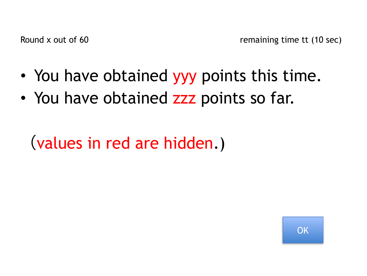- You have obtained yyy points this time.
- You have obtained zzz points so far.

(values in red are hidden.)

**OK**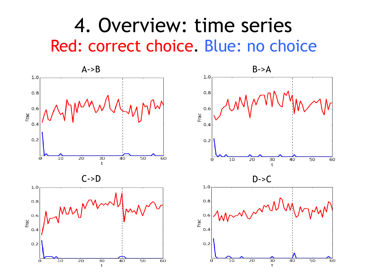### 4. Overview: time series Red: correct choice. Blue: no choice

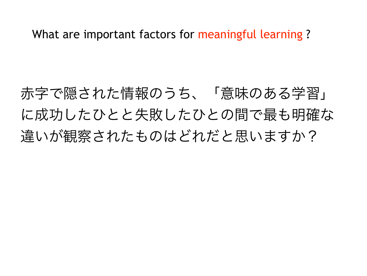What are important factors for meaningful learning ?

赤字で隠された情報のうち、「意味のある学習」 に成功したひとと失敗したひとの間で最も明確な 違いが観察されたものはどれだと思いますか?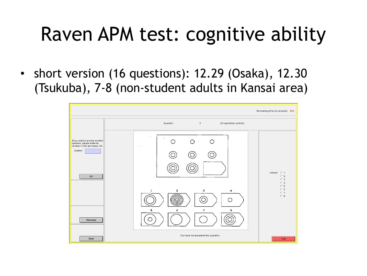## Raven APM test: cognitive ability

• short version (16 questions): 12.29 (Osaka), 12.30 (Tsukuba), 7-8 (non-student adults in Kansai area)

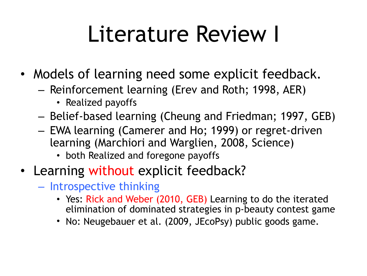# Literature Review I

- Models of learning need some explicit feedback.
	- Reinforcement learning (Erev and Roth; 1998, AER)
		- Realized payoffs
	- Belief-based learning (Cheung and Friedman; 1997, GEB)
	- EWA learning (Camerer and Ho; 1999) or regret-driven learning (Marchiori and Warglien, 2008, Science)
		- both Realized and foregone payoffs
- Learning without explicit feedback?
	- Introspective thinking
		- Yes: Rick and Weber (2010, GEB) Learning to do the iterated elimination of dominated strategies in p-beauty contest game
		- No: Neugebauer et al. (2009, JEcoPsy) public goods game.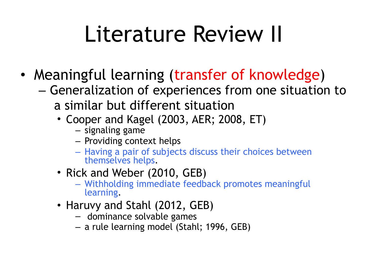# Literature Review II

- Meaningful learning (transfer of knowledge)
	- Generalization of experiences from one situation to a similar but different situation
		- Cooper and Kagel (2003, AER; 2008, ET)
			- signaling game
			- Providing context helps
			- Having a pair of subjects discuss their choices between themselves helps.
		- Rick and Weber (2010, GEB)
			- Withholding immediate feedback promotes meaningful learning.
		- Haruvy and Stahl (2012, GEB)
			- dominance solvable games
			- a rule learning model (Stahl; 1996, GEB)